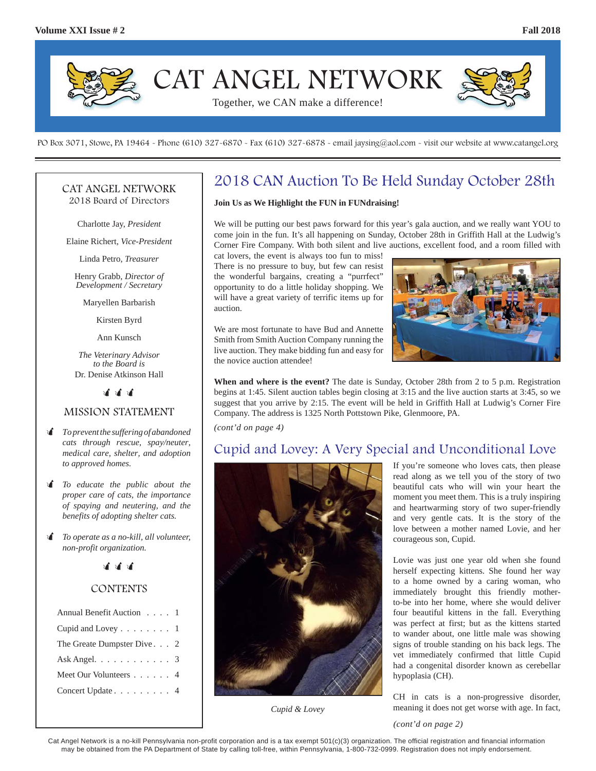

PO Box 3071, Stowe, PA 19464 - Phone (610) 327-6870 - Fax (610) 327-6878 - email jaysing@aol.com - visit our website at www.catangel.org

#### CAT ANGEL NETWORK 2018 Board of Directors

Charlotte Jay, *President*

Elaine Richert, *Vice-President*

Linda Petro, *Treasurer*

Henry Grabb, *Director of Development / Secretary*

Maryellen Barbarish

Kirsten Byrd

Ann Kunsch

*The Veterinary Advisor to the Board is*  Dr. Denise Atkinson Hall

भी भी भी

#### MISSION STATEMENT

- *To prevent the suffering of abandoned cats through rescue, spay/neuter, medical care, shelter, and adoption to approved homes.*
- *To educate the public about the proper care of cats, the importance of spaying and neutering, and the benefits of adopting shelter cats.*
- *To operate as a no-kill, all volunteer, non-profit organization.*



### **CONTENTS**

| Annual Benefit Auction 1                   |  |
|--------------------------------------------|--|
| Cupid and Lovey 1                          |  |
| The Greate Dumpster Dive. 2                |  |
| Ask Angel. $\ldots \ldots \ldots \ldots 3$ |  |
| Meet Our Volunteers 4                      |  |
| Concert Update 4                           |  |
|                                            |  |

## 2018 CAN Auction To Be Held Sunday October 28th

#### **Join Us as We Highlight the FUN in FUNdraising!**

We will be putting our best paws forward for this year's gala auction, and we really want YOU to come join in the fun. It's all happening on Sunday, October 28th in Griffith Hall at the Ludwig's Corner Fire Company. With both silent and live auctions, excellent food, and a room filled with

cat lovers, the event is always too fun to miss! There is no pressure to buy, but few can resist the wonderful bargains, creating a "purrfect" opportunity to do a little holiday shopping. We will have a great variety of terrific items up for auction.

We are most fortunate to have Bud and Annette Smith from Smith Auction Company running the live auction. They make bidding fun and easy for the novice auction attendee!



**When and where is the event?** The date is Sunday, October 28th from 2 to 5 p.m. Registration begins at 1:45. Silent auction tables begin closing at 3:15 and the live auction starts at 3:45, so we suggest that you arrive by 2:15. The event will be held in Griffith Hall at Ludwig's Corner Fire Company. The address is 1325 North Pottstown Pike, Glenmoore, PA.

*(cont'd on page 4)*

## Cupid and Lovey: A Very Special and Unconditional Love



*Cupid & Lovey*

If you're someone who loves cats, then please read along as we tell you of the story of two beautiful cats who will win your heart the moment you meet them. This is a truly inspiring and heartwarming story of two super-friendly and very gentle cats. It is the story of the love between a mother named Lovie, and her courageous son, Cupid.

Lovie was just one year old when she found herself expecting kittens. She found her way to a home owned by a caring woman, who immediately brought this friendly motherto-be into her home, where she would deliver four beautiful kittens in the fall. Everything was perfect at first; but as the kittens started to wander about, one little male was showing signs of trouble standing on his back legs. The vet immediately confirmed that little Cupid had a congenital disorder known as cerebellar hypoplasia (CH).

CH in cats is a non-progressive disorder, meaning it does not get worse with age. In fact,

*(cont'd on page 2)*

Cat Angel Network is a no-kill Pennsylvania non-profit corporation and is a tax exempt 501(c)(3) organization. The official registration and financial information may be obtained from the PA Department of State by calling toll-free, within Pennsylvania, 1-800-732-0999. Registration does not imply endorsement.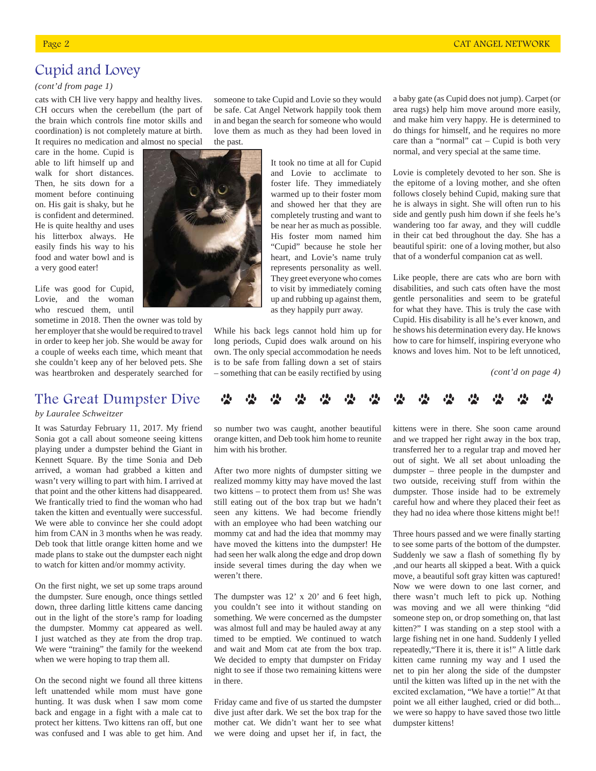## Cupid and Lovey

#### *(cont'd from page 1)*

cats with CH live very happy and healthy lives. CH occurs when the cerebellum (the part of the brain which controls fine motor skills and coordination) is not completely mature at birth. It requires no medication and almost no special

care in the home. Cupid is able to lift himself up and walk for short distances. Then, he sits down for a moment before continuing on. His gait is shaky, but he is confident and determined. He is quite healthy and uses his litterbox always. He easily finds his way to his food and water bowl and is a very good eater!

Life was good for Cupid, Lovie, and the woman who rescued them, until

sometime in 2018. Then the owner was told by her employer that she would be required to travel in order to keep her job. She would be away for a couple of weeks each time, which meant that she couldn't keep any of her beloved pets. She was heartbroken and desperately searched for

## The Great Dumpster Dive

#### *by Lauralee Schweitzer*

It was Saturday February 11, 2017. My friend Sonia got a call about someone seeing kittens playing under a dumpster behind the Giant in Kennett Square. By the time Sonia and Deb arrived, a woman had grabbed a kitten and wasn't very willing to part with him. I arrived at that point and the other kittens had disappeared. We frantically tried to find the woman who had taken the kitten and eventually were successful. We were able to convince her she could adopt him from CAN in 3 months when he was ready. Deb took that little orange kitten home and we made plans to stake out the dumpster each night to watch for kitten and/or mommy activity.

On the first night, we set up some traps around the dumpster. Sure enough, once things settled down, three darling little kittens came dancing out in the light of the store's ramp for loading the dumpster. Mommy cat appeared as well. I just watched as they ate from the drop trap. We were "training" the family for the weekend when we were hoping to trap them all.

On the second night we found all three kittens left unattended while mom must have gone hunting. It was dusk when I saw mom come back and engage in a fight with a male cat to protect her kittens. Two kittens ran off, but one was confused and I was able to get him. And

someone to take Cupid and Lovie so they would be safe. Cat Angel Network happily took them in and began the search for someone who would love them as much as they had been loved in the past.

> It took no time at all for Cupid and Lovie to acclimate to foster life. They immediately warmed up to their foster mom and showed her that they are completely trusting and want to be near her as much as possible. His foster mom named him "Cupid" because he stole her heart, and Lovie's name truly represents personality as well. They greet everyone who comes to visit by immediately coming up and rubbing up against them, as they happily purr away.

While his back legs cannot hold him up for long periods, Cupid does walk around on his own. The only special accommodation he needs is to be safe from falling down a set of stairs – something that can be easily rectified by using

a baby gate (as Cupid does not jump). Carpet (or area rugs) help him move around more easily, and make him very happy. He is determined to do things for himself, and he requires no more care than a "normal" cat – Cupid is both very normal, and very special at the same time.

Lovie is completely devoted to her son. She is the epitome of a loving mother, and she often follows closely behind Cupid, making sure that he is always in sight. She will often run to his side and gently push him down if she feels he's wandering too far away, and they will cuddle in their cat bed throughout the day. She has a beautiful spirit: one of a loving mother, but also that of a wonderful companion cat as well.

Like people, there are cats who are born with disabilities, and such cats often have the most gentle personalities and seem to be grateful for what they have. This is truly the case with Cupid. His disability is all he's ever known, and he shows his determination every day. He knows how to care for himself, inspiring everyone who knows and loves him. Not to be left unnoticed,

*(cont'd on page 4)*



so number two was caught, another beautiful orange kitten, and Deb took him home to reunite him with his brother.

After two more nights of dumpster sitting we realized mommy kitty may have moved the last two kittens – to protect them from us! She was still eating out of the box trap but we hadn't seen any kittens. We had become friendly with an employee who had been watching our mommy cat and had the idea that mommy may have moved the kittens into the dumpster! He had seen her walk along the edge and drop down inside several times during the day when we weren't there.

The dumpster was 12' x 20' and 6 feet high, you couldn't see into it without standing on something. We were concerned as the dumpster was almost full and may be hauled away at any timed to be emptied. We continued to watch and wait and Mom cat ate from the box trap. We decided to empty that dumpster on Friday night to see if those two remaining kittens were in there.

Friday came and five of us started the dumpster dive just after dark. We set the box trap for the mother cat. We didn't want her to see what we were doing and upset her if, in fact, the

kittens were in there. She soon came around and we trapped her right away in the box trap, transferred her to a regular trap and moved her out of sight. We all set about unloading the dumpster – three people in the dumpster and two outside, receiving stuff from within the dumpster. Those inside had to be extremely careful how and where they placed their feet as they had no idea where those kittens might be!!

Three hours passed and we were finally starting to see some parts of the bottom of the dumpster. Suddenly we saw a flash of something fly by ,and our hearts all skipped a beat. With a quick move, a beautiful soft gray kitten was captured! Now we were down to one last corner, and there wasn't much left to pick up. Nothing was moving and we all were thinking "did someone step on, or drop something on, that last kitten?" I was standing on a step stool with a large fishing net in one hand. Suddenly I yelled repeatedly,"There it is, there it is!" A little dark kitten came running my way and I used the net to pin her along the side of the dumpster until the kitten was lifted up in the net with the excited exclamation, "We have a tortie!" At that point we all either laughed, cried or did both... we were so happy to have saved those two little dumpster kittens!



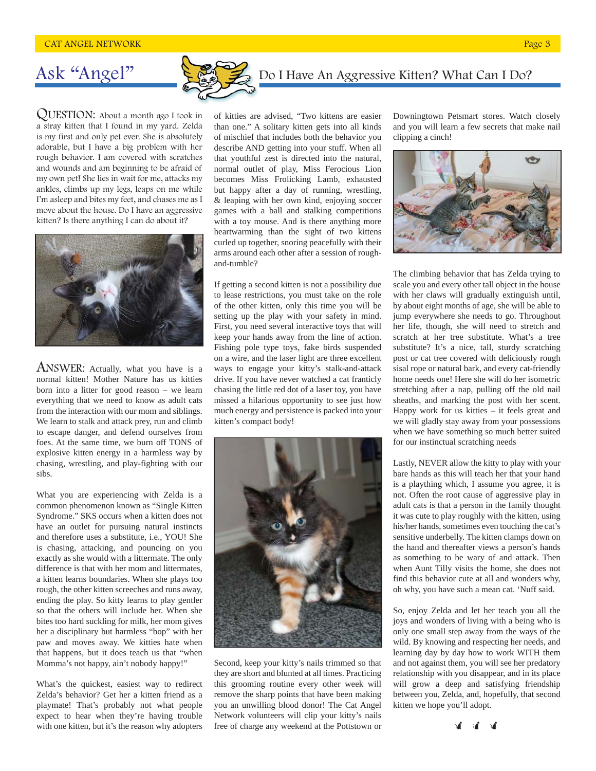# Ask "Angel"

QUESTION: About a month ago I took in a stray kitten that I found in my yard. Zelda is my first and only pet ever. She is absolutely adorable, but I have a big problem with her rough behavior. I am covered with scratches and wounds and am beginning to be afraid of my own pet! She lies in wait for me, attacks my ankles, climbs up my legs, leaps on me while I'm asleep and bites my feet, and chases me as I move about the house. Do I have an aggressive kitten? Is there anything I can do about it?



ANSWER: Actually, what you have is a normal kitten! Mother Nature has us kitties born into a litter for good reason – we learn everything that we need to know as adult cats from the interaction with our mom and siblings. We learn to stalk and attack prey, run and climb to escape danger, and defend ourselves from foes. At the same time, we burn off TONS of explosive kitten energy in a harmless way by chasing, wrestling, and play-fighting with our sibs.

What you are experiencing with Zelda is a common phenomenon known as "Single Kitten Syndrome." SKS occurs when a kitten does not have an outlet for pursuing natural instincts and therefore uses a substitute, i.e., YOU! She is chasing, attacking, and pouncing on you exactly as she would with a littermate. The only difference is that with her mom and littermates, a kitten learns boundaries. When she plays too rough, the other kitten screeches and runs away, ending the play. So kitty learns to play gentler so that the others will include her. When she bites too hard suckling for milk, her mom gives her a disciplinary but harmless "bop" with her paw and moves away. We kitties hate when that happens, but it does teach us that "when Momma's not happy, ain't nobody happy!"

What's the quickest, easiest way to redirect Zelda's behavior? Get her a kitten friend as a playmate! That's probably not what people expect to hear when they're having trouble with one kitten, but it's the reason why adopters

of kitties are advised, "Two kittens are easier than one." A solitary kitten gets into all kinds of mischief that includes both the behavior you describe AND getting into your stuff. When all that youthful zest is directed into the natural, normal outlet of play, Miss Ferocious Lion becomes Miss Frolicking Lamb, exhausted but happy after a day of running, wrestling, & leaping with her own kind, enjoying soccer games with a ball and stalking competitions with a toy mouse. And is there anything more heartwarming than the sight of two kittens curled up together, snoring peacefully with their arms around each other after a session of roughand-tumble?

If getting a second kitten is not a possibility due to lease restrictions, you must take on the role of the other kitten, only this time you will be setting up the play with your safety in mind. First, you need several interactive toys that will keep your hands away from the line of action. Fishing pole type toys, fake birds suspended on a wire, and the laser light are three excellent ways to engage your kitty's stalk-and-attack drive. If you have never watched a cat franticly chasing the little red dot of a laser toy, you have missed a hilarious opportunity to see just how much energy and persistence is packed into your kitten's compact body!



Second, keep your kitty's nails trimmed so that they are short and blunted at all times. Practicing this grooming routine every other week will remove the sharp points that have been making you an unwilling blood donor! The Cat Angel Network volunteers will clip your kitty's nails free of charge any weekend at the Pottstown or Downingtown Petsmart stores. Watch closely and you will learn a few secrets that make nail clipping a cinch!

Do I Have An Aggressive Kitten? What Can I Do?



The climbing behavior that has Zelda trying to scale you and every other tall object in the house with her claws will gradually extinguish until, by about eight months of age, she will be able to jump everywhere she needs to go. Throughout her life, though, she will need to stretch and scratch at her tree substitute. What's a tree substitute? It's a nice, tall, sturdy scratching post or cat tree covered with deliciously rough sisal rope or natural bark, and every cat-friendly home needs one! Here she will do her isometric stretching after a nap, pulling off the old nail sheaths, and marking the post with her scent. Happy work for us kitties – it feels great and we will gladly stay away from your possessions when we have something so much better suited for our instinctual scratching needs

Lastly, NEVER allow the kitty to play with your bare hands as this will teach her that your hand is a plaything which, I assume you agree, it is not. Often the root cause of aggressive play in adult cats is that a person in the family thought it was cute to play roughly with the kitten, using his/her hands, sometimes even touching the cat's sensitive underbelly. The kitten clamps down on the hand and thereafter views a person's hands as something to be wary of and attack. Then when Aunt Tilly visits the home, she does not find this behavior cute at all and wonders why, oh why, you have such a mean cat. 'Nuff said.

So, enjoy Zelda and let her teach you all the joys and wonders of living with a being who is only one small step away from the ways of the wild. By knowing and respecting her needs, and learning day by day how to work WITH them and not against them, you will see her predatory relationship with you disappear, and in its place will grow a deep and satisfying friendship between you, Zelda, and, hopefully, that second kitten we hope you'll adopt.